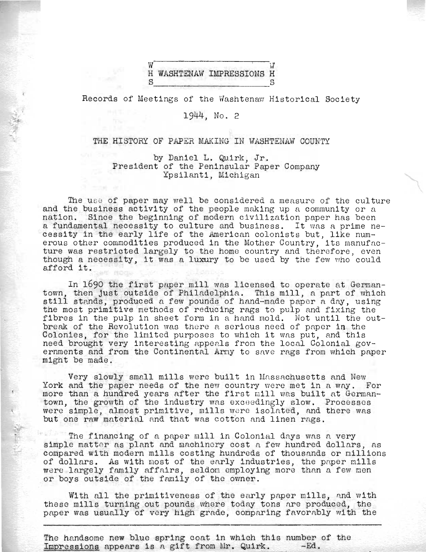## $W$ .<br>S washtenaw impressions  $\overset{\cdot \cdot }{\text{s}}$

Records of Meetings of the Washtenaw Historical Society

1944, No. 2

,£

## THE HISTORY OF PAPER MAKING IN WASHTENAW COUNTY

by Daniel L. Quirk, Jr. President of the Peninsular Paper Company Ypsilanti, Michigan

The use of paper may well be considered a measure of the culture and the business activity of the people making up a community or a nation. Since the beginning of modern civilization paper has been a fundamental necessity to culture and business. It was a prime necessity in the early life of the American colonists but, like numerous other commodities produced in the Mother Country, its manufacture was restricted largely to the home country and therefore, even though a necessity, it was a luxury to be used by the few who could afford it.

In 1690 the first paper mill was licensed to operate at Germantown, then just outside of Philadelphia. This mill, a part of which own, then just outside of Philadelphia. This mill, a part of which<br>still stands, produced a few pounds of hand-made paper a day, using the most primitive methods of reducing rags to pulp and fixing the fibres in the pulp in sheet form in a hand mold. Not until the outbreak of the Revolution was there a serious need of paper in the Colonies, for the limited purposes to which it was put, and this need brought very interesting appenls from the local Colonial governments and from the Continental Army to save rags from which paper might be made.

Very slowly small mills were built in Massachusetts and New York and the paper needs of the new country were met in a way. For more than a hundred years after the first mill was built at Germantown, the growth of the industry was exceedingly slow. Processes were simple, almost primitive, mills were isolated, and there was but one raw material and that was cotton and linen rags.

The financing of a paper mill in Colonial days was a very simple matter as plant and machinery cost a few hundred dollars, as compared with modern mills costing hundreds of thousands or millions of dollars. As with most of the early industries, the paper mills were largely family affairs, seldom employing more than a few men or boys outside of the family of the owner.

With all the primitiveness of the early paper mills, and with these mills turning out pounds where today tons are produced, the paper was usually of very high grade, comparing favorably with the

The handsome new blue spring coat in which this number of the Impressions appears is a gift from Mr. Quirk. -Ed.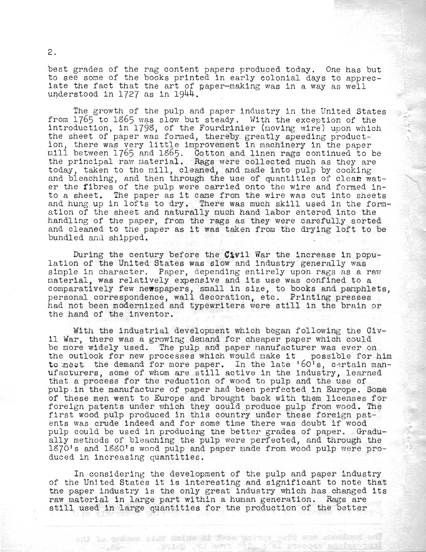best grades of the rag content papers produced today. One has but to see some of the books printed in early colonial days to appreciate the fact that the art of paper-making was in a way as well understood in  $1727$  as in  $1944$ .

The growth of the pulp and paper industry in the United States from  $1765$  to  $1865$  was slow but steady. With the exception of the introduction, in 1798, of the Fourdrinier (moving wire) upon which the sheet of paper was formed, thereby greatly speeding productine sheet of paper was formed, thereby greatly speeding product-<br>ion, there was very little improvement in machinery in the paper mill between 1765 and lS65. Cotton and linen rags continued to be the principal raw material. Rags were collected much as they are today, taken to the mill, cleaned, and made into pulp by cooking and bleaching, and then through the use of quantities of clean water the fibres of the pulp were carried onto the wire and formed into a sheet. The paper as it came from the wire was cut into sheets and hung up in lofts to dry. There was much skill used in the formation of the sheet and naturally much hand labor entered into the handling of the paper, from the rags as they were carefully sorted and cleaned to the paper as it was taken from the drying loft to be bundled and shipped.

During the century before the Civil War the increase in population of the United States was slow and industry generally was simple in character. Paper, depending entirely upon rags as a raw material, was relatively expensive and its use was confined to a comparatively few newspapers, small in size, to books and pamphlets, personal correspondence, wall decoration, etc. Printing presses had not been modernized and typewriters were still in the brain or the hand of the inventor.

With the industrial development which began following the Civil War, there was a growing demand for cheaper paper which could be more widely used. The pulp and paper manufacturer was ever on the outlook for new processes which would make it possible for him to meet the demand for more paper. In the late '60's, certain man-Ufacturers, some of whom are still active in the industry, learned that a process for the reduction of wood to pulp and the use of pulp -in the manufacture of paper had been perfected in Europe. Some of these men went to Europe and brought back with them licenses for foreign patents under which they could produce pulp from wood. The first wood pulp produced in this country under these foreign patents was crude indeed and for some time there was doubt if wood pulp could be used in producing the better grades of paper. Gradually methods of bleaching the pulp were perfected, and through the 1870's and 1880's wood pulp and paper made from wood pulp were produced in increasing quantities.

In considering the development of the pulp and paper industry of the United States it is interesting and significant to note that the paper industry is the only great industry which has changed its raw material in large part within a human generation. Rags are still used in large quantities for the production of the better

and to codown size dutable it were partite out and sendored will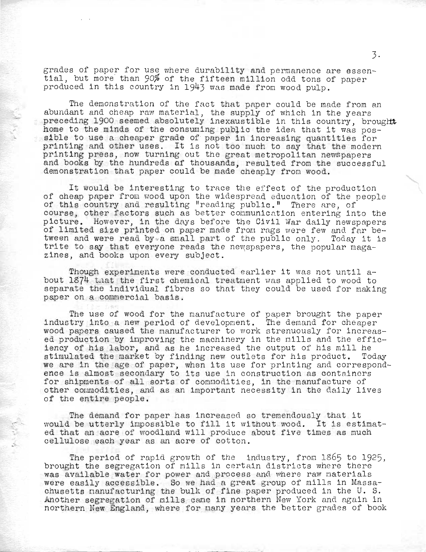grades of paper for use where durability and permanence are essential, but more; than 90% of the fifteen million odd tons of paper produced in this country in 1943 was made from wood pulp.

The demonstration of the fact that paper could be made from an abundant and cheap raw material, the supply of which in the years preceding 1900 seemed absolutely inexaustible in this country, brought home to the minds of the consuming public the idea that it was possible to use a cheaper grade of paper in increasing quantities for printing and other uses. It is not too much to say that the modern printing press, now turning out the great metropolitan newspapers and books by the hundreds af thousands, resulted from the successful demonstration that paper could be made cheaply from wood.

It would be interesting to trace the effect of the production of cheap paper from wood upon the widespread education of the people of this country and resulting "reading public." There are, of course, other factors such as better communication entering into the picture. However, in the days before the Civil War daily newspapers of limited size printed on paper made from rags were few and far between and were read by a small part of the public only. Today it is trite to say that everyone reads the new spapers, the popular magazines, and books upon every subject.

Though experiments were conducted earlier it was not until  $a$ bout 1\$74 tnat the first chemical treatment was applied to wood to separate the individual fibres so that they could be used for making paper on a conmercial basis.

The use of wood for the manufacture of papen brought the paper industry into a new period of development. The demand for cheaper wood papers caused the manufacturer to work strenuously for increased production by inproving the machinery in the mills and the efficiency of his labor, and as he increased the output of his mill he stimulated the market by finding new outlets for his product. Today we are in the age of paper, when its use for printing and correspondence is almost secondary to its use in construction as containers for shipments of all sorts of commodities, in the manufacture of other commodities, and as an important necessity in the daily lives of the entire people.

The demand for paper has increased 80 tremendously that it would be utterly impossible to fill it without wood. It is estimated that an acre of woodland will produce about five times as much cellulose each year as an acre of cotton.

The period of rapid growth of the industry, from  $1865$  to 1925, brought the segregation of mills in certain districts where there was available water for power and process and where raw materials were easily accessible. So we had a great group of mills in Massachusetts nanufacturing the bulk of fine paper produced in the U. S. Another segregation of mills came in northern New York and again in northern New England, where for many years the better grades of book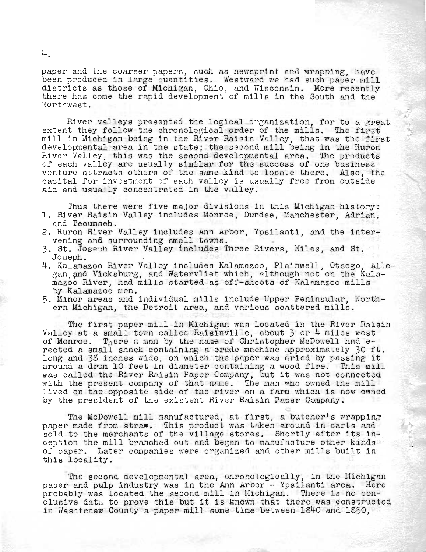paper and the coarser papers, such as newsprint and wrapping, have been produced in large quantities. Westward we had such paper mill districts as those of Michigan, Ohio, and Wisconsin. More recently there has come the rapid development of mills in the South and the Northwest.

River valleys presented the logical organization, for to a great extent they follow the chronological order of the mills. The first mill in Michigan being in the River Raisin Valley, that was the first developmental area in the state; the second mill being in the Huron River Valley, this was the second developmental area. The products of each valley are usually similar for the success of one business venture attracts others of the same kind to locate there. Also, the capital for investment of each valley is usually free from outside aid and usually concentrated in the valley.

Thus there were five major divisions in this Michigan history: 1. River Raisin Valley includes Monroe, Dundee, Manchester, Adrian, and Tecumseh.

- 2. Huron River Valley includes Ann Arbor, Ypsilanti, and the intervening and surrounding small towns.
- 3. St. Joseph River Valley includes Three Rivers, Niles, and St.
- Joseph.<br>4. Kalamazoo River Valley includes Kalamazoo, Plainwell, Otsego, Allegan and Vicksburg, and Watervliet which, although not on the Kalamazoo River, had mills started as off-shoots of Kalamazoo mills by Kalamazoo men.
- 5. Minor areas and individual mills include Upper Peninsular, North-<br>ern Michigan, the Detroit area, and various scattered mills.

The first paper mill in Michigan was located in the River Raisin Valley at a small town called Raisinville, about 3 or 4 miles west of Monroe. There a man by the name of Christopher McDowell had erected a small shack containing a crude machine approximately 30 ft. long and 38 inches wide, on which the paper was dried by passing it around a drum 10 feet in diameter containing a wood fire. This mill was called the River Raisin Paper Company, but it was not connected with the present conpany of that nane. The man who owned the mill lived on the opposite side of the river on a farm which is now owned by the president of the existent River Raisin Paper Company.

The McDowell nill manufactured, at first, a butcher's wrapping paper made from straw. This product was taken around in carts and sold to the merchants of the village stores. Shortly after its inception the mill branched out and began to manufacture other kinds of paper. Later companies were organized and other mills built in this locality.

The second developmental area, chronologically, in the Michigan paper and pulp industry was in the Ann Arbor - Ypsilanti area. Here probably was located the second mill in Michigan. There is no conclusive data to prove this but it is known that there was constructed in Washtenaw County a paper mill some time between 1840 and 1850,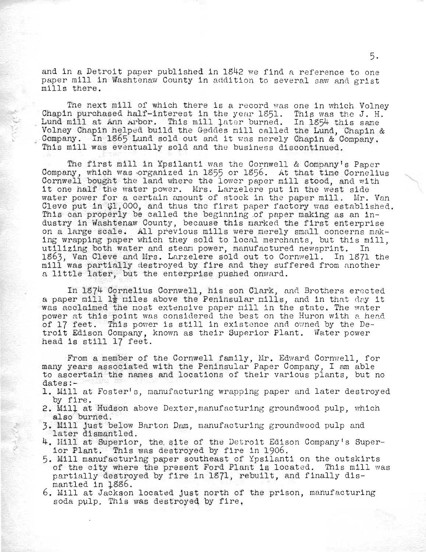and in a Detroit paper published in 1842 we find a reference to one paper mill in Washtenaw County in addition to several saw and grist mills there.

The next mill of which there is a record was one in which Volney Chapin purchased half-interest in the year  $1851$ . This was the J. H. Lund mill at Ann Arbor. This mill later burned. In 1854 this same Volney Chapin helped build the Geddes mill called the Lund, Chapin & Company. In 1865 Lund sold out and it was merely Chapin & Company. This mill was eventually sold and the business discontinued.

The first mill in Ypsilanti was the Cornwell & Company's Paper Company, which was organized in 1855 or 1856. At that time Cornelius Company, which was criganized in 1977 or 1970. At that this corneric it one half the water power. Mrs. Larzelere put in the west side water power for a certain amount of stock in the paper mill. Mr. Van Cleve put in  $\overline{1,000}$ , and thus the first paper factory was established. This can properly be called the beginning of paper making as an industry in Washtenaw County, because this marked the first enterprise on a large scale. All previous mills were merely small concerns mak-<br>ing wrapping paper which they sold to local merchants, but this mill, utilizing both water and steam power, manufactured newsprint. In 1863, Van Cleve and Mrs. Larzelere sold out to Cornwell. In 1871 the mill was partially destroyed by fire and they suffered from another a little later, but the enterprise pushed onward.

In 1874 Cornelius Cornwell, his son Clark, and Brothers erected a paper  $m11$   $1\frac{1}{2}$  miles above the Peninsular mills, and in that day it was acclaimed the most extensive paper mill in the state. The water power at this point was considered the best on the Huron with a head of 17 feet. This power is still in existence and owned by the Detroit Edison Company, known as their Superior Plant. Water power head is still 17 feet.

From a member of the Cornwell family, Mr. Edward Cornwell, for many years associated with the Peninsular Paper Company, I am able to ascertain the names and locations of their various plants, but no dates:-

- 1. Mill at Foster's, manufacturing wrapping paper and later destroyed by fire.
- 2. Mill at Hudson above Dexter, manufac turing groundwood pulp, which also burned.
- arso burneu.<br>3. Mill just below Barton Dam, manufacturing groundwood pulp and witt just below barton *pam*<br>later dismantled. later dismantled.<br>4. Mill at Superior, the site of the Detroit Edison Company's Super-
- 
- ior Plant. This was destroyed by fire in 1906.<br>5. Mill manufacturing paper southeast of Ypsilanti on the outskirts of the city where the present Ford Plant is located. This mill was partially destroyed by fire in 1\$71, rebuilt, and finally dismantled in  $\frac{1886}{100}$ .<br>6. Mill at Jackson located just north of the prison, manuf acturing
- soda pulp. This was destroyed by fire.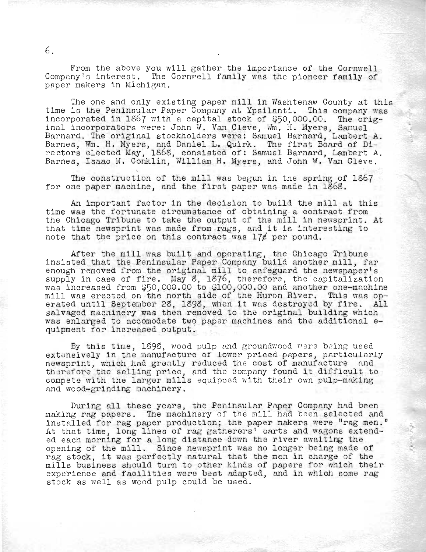From the above you will gather the importance of the Cornwell Company's interest. The Cornvrell family was the pioneer family of paper makers in Michigan.

The one and only existing paper mill in Washtenaw County at this time is the Peninsular Paper Company at Ypsilanti. This company was incorporated in  $1867$  with a capital stock of  $$50,000.00$ . The original incorporators were: John W. Van Cleve, Wm. H. Myers, Samuel Barnard. The original stockholders were: Samuel Barnard, Lambert A. Barnes, Wm. H. Myers, and Daniel L. Quirk. The first Board of Dire ctors elected Iday, 1868, consisted of: Samuel Barnard, Lambert A. Barnes, Isaac N. Conklin, William H. Myers, and John *W.* Van Cleve.

The construction of the mill was begun in the spring of 1867 for one paper machine, and the first paper was made in 1868.

An important factor in the decision to build the mill at this time was the fortunate circumstance of obtaining a contract from the Chicago Tribune to take the output of the mill in newsprint. At that time newsprint was made from rags, and it is interesting to note that the price on this contract was  $17\ell$  per pound.

After the mill was built and operating, the Chicago Tribune insisted that the Peninsular Paper Company build another mill, far enough removed from the original mill to safeguard the newspaper's snougn removed from the original mill to safeguard the newspaper s<br>supply in case of fire. May 8, 1876, therefore, the capitalization was increased from  $$50,000.00$  to  $$100,000.00$  and another one-machine mill was erected on the north side of the Huron River. This was operated until September 28, 1898, when it was destroyed by fire. All salvaged machinery was then removed to the original building which was enlarged to accomodate two paper machines and the additional equipment for increased output.

By this time, 1898, wood pulp and groundwood were being used extensively in the manufacture of lower priced papers, particularly newsprint, which had greatly reduced the cost of manufacture and therefore the selling price, and the company found it difficult to compete with the larger mills equipped with their own pulp-making and wood-grinding machinery.

During all these years, the Peninsular Paper Company had been making rag papers. The machinery of the mill had been selected and installed for rag paper production; the paper makers were "rag men." At that time, long lines of rag gatherers' carts and wagons extended each morning for a long distance down the river awaiting the of each morning for a fong distance down the fiver awarding the<br>ppening of the mill. Since newsprint was no longer being made of ppening of the mill. Since newsprint was no longer being made of<br>ag stock, it was perfectly natural that the men in charge of the mills business should turn to other kinds of papers for which their experience and facilities were best adapted, and in which some rag stock as well as wood pulp could be used.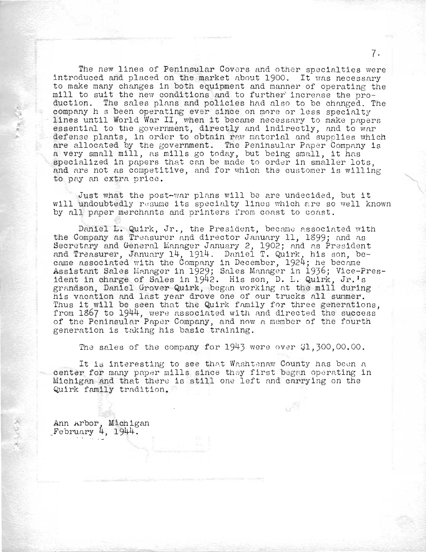The new lines of Peninsular Covers and other specialties were introduced and placed on the market about 1900. It was necessary to make many changes in both equipment and manner of operating the mill to suit the new conditions and to further increase the production. The sales plans and policies had also to be changed. The company h s been operating ever since on more or less specialty lines until World War II, when it became necessary to make papers essential to the government, directly and indirectly, and to war . defense plants, in order to obtain raw material and supplies which are allocated by the government. The Peninsular Paper Company is a very small mill, as mills go today, but being small, it has specialized in papers that can be made to order in smaller lots, and are not as competitive, and for which the customer is willing to pay an extra price.

Just what the post-war plans will be are undecided, but it will undoubtedly resume its specialty lines which are so well known by all paper merchants and printers from coast to coast.

Daniel L. Quirk, Jr., the President, became associated with the Company as Treasurer and director January 11, 1899; and as Secretary as freasured and director candary if, 1999, and as resident nnd Treasurer, January 14, 1914. Daniel T. Quirk, his son, became fleasured, samuary 14, 1914. Banter 1: Quint, his son, became and associated with the company in Becomber, 1924, he became<br>Assistant Sales Manager in 1929; Sales Manager in 1936; Vice-President in charge of Sales in 1929; Sales Manager in 1990; vice-Pr<br>ident in charge of Sales in 1942. His son, D. L. Quirk, Jr. s grandson, Daniel Grover Quirk, began working at the mill during his vacation and last year drove one of our trucks all summer. Thus it will be seen that the Quirk family for three generations. from 1867 to 1944, were associated with and directed the success of the Peninsular Paper Company, and now a member of the fourth generation is taking his basic training.

The sales of the company for  $1943$  were over  $$1,300,00,00$ .

 $\mathfrak{g}^{\mathfrak{S}}$ 

It is interesting to see that Washtenaw County has been a center for many paper mills since they first began operating in Michigan and that there is still one left and carrying on the Quirk family tradition.

Ann Arbor, Michigan<br>February 4, 1944.

 $\mathcal{K}_{\mathcal{A}}^{\mathcal{A}}$  ,  $\mathcal{K}_{\mathcal{C}}^{\mathcal{A}}$  ,